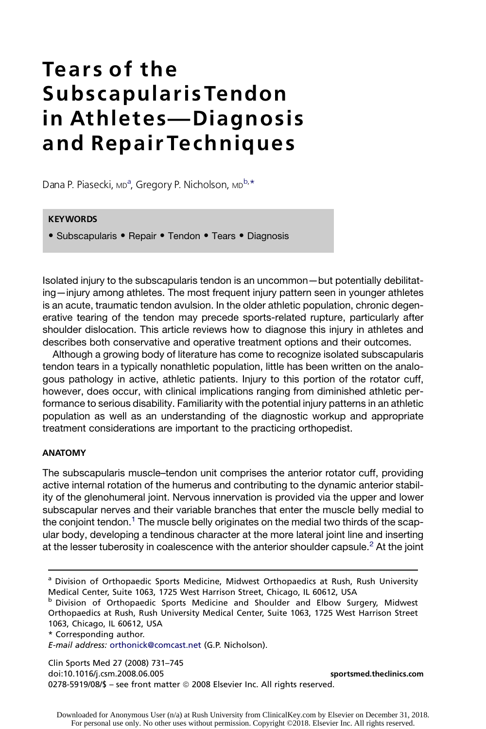# Tears of the Subscapularis Tendon in Athletes-Diagnosis and Repair Techniques

Dana P. Piasecki, <sub>MD</sub><sup>a</sup>, Gregory P. Nicholson, <sub>MD</sub>b, \*

## **KEYWORDS**

• Subscapularis • Repair • Tendon • Tears • Diagnosis

Isolated injury to the subscapularis tendon is an uncommon—but potentially debilitating—injury among athletes. The most frequent injury pattern seen in younger athletes is an acute, traumatic tendon avulsion. In the older athletic population, chronic degenerative tearing of the tendon may precede sports-related rupture, particularly after shoulder dislocation. This article reviews how to diagnose this injury in athletes and describes both conservative and operative treatment options and their outcomes.

Although a growing body of literature has come to recognize isolated subscapularis tendon tears in a typically nonathletic population, little has been written on the analogous pathology in active, athletic patients. Injury to this portion of the rotator cuff, however, does occur, with clinical implications ranging from diminished athletic performance to serious disability. Familiarity with the potential injury patterns in an athletic population as well as an understanding of the diagnostic workup and appropriate treatment considerations are important to the practicing orthopedist.

#### ANATOMY

The subscapularis muscle–tendon unit comprises the anterior rotator cuff, providing active internal rotation of the humerus and contributing to the dynamic anterior stability of the glenohumeral joint. Nervous innervation is provided via the upper and lower subscapular nerves and their variable branches that enter the muscle belly medial to the conjoint tendon.<sup>1</sup> The muscle belly originates on the medial two thirds of the scapular body, developing a tendinous character at the more lateral joint line and inserting at the lesser tuberosity in coalescence with the anterior shoulder capsule. $2$  At the joint

**b Division of Orthopaedic Sports Medicine and Shoulder and Elbow Surgery, Midwest** Orthopaedics at Rush, Rush University Medical Center, Suite 1063, 1725 West Harrison Street 1063, Chicago, IL 60612, USA

\* Corresponding author.

E-mail address: orthonick@comcast.net (G.P. Nicholson).

Clin Sports Med 27 (2008) 731–745 doi:10.1016/j.csm.2008.06.005 sportsmed.theclinics.com 0278-5919/08/\$ - see front matter © 2008 Elsevier Inc. All rights reserved.

<sup>&</sup>lt;sup>a</sup> Division of Orthopaedic Sports Medicine, Midwest Orthopaedics at Rush, Rush University Medical Center, Suite 1063, 1725 West Harrison Street, Chicago, IL 60612, USA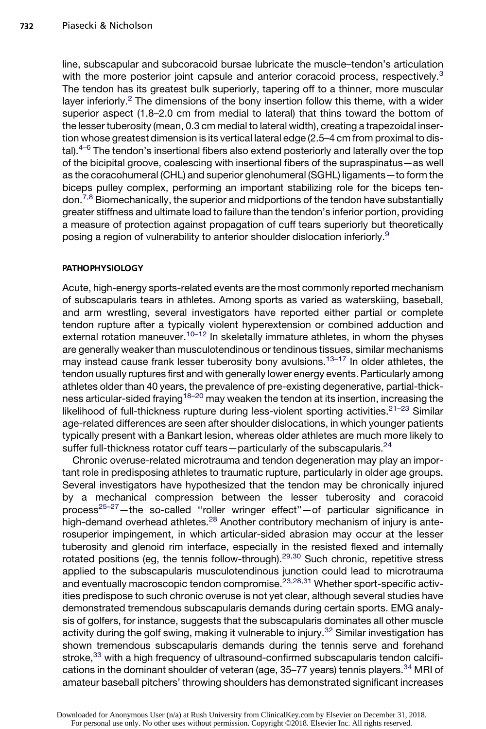line, subscapular and subcoracoid bursae lubricate the muscle–tendon's articulation with the more posterior joint capsule and anterior coracoid process, respectively.<sup>3</sup> The tendon has its greatest bulk superiorly, tapering off to a thinner, more muscular layer inferiorly.<sup>2</sup> The dimensions of the bony insertion follow this theme, with a wider superior aspect (1.8–2.0 cm from medial to lateral) that thins toward the bottom of the lesser tuberosity (mean, 0.3 cm medial to lateral width), creating a trapezoidal insertion whose greatest dimension is its vertical lateral edge (2.5–4 cm from proximal to distal). $4-6$  The tendon's insertional fibers also extend posteriorly and laterally over the top of the bicipital groove, coalescing with insertional fibers of the supraspinatus—as well as the coracohumeral (CHL) and superior glenohumeral (SGHL) ligaments—to form the biceps pulley complex, performing an important stabilizing role for the biceps ten- $\gamma^{7,8}$  Biomechanically, the superior and midportions of the tendon have substantially greater stiffness and ultimate load to failure than the tendon's inferior portion, providing a measure of protection against propagation of cuff tears superiorly but theoretically posing a region of vulnerability to anterior shoulder dislocation inferiorly.<sup>9</sup>

#### PATHOPHYSIOLOGY

Acute, high-energy sports-related events are the most commonly reported mechanism of subscapularis tears in athletes. Among sports as varied as waterskiing, baseball, and arm wrestling, several investigators have reported either partial or complete tendon rupture after a typically violent hyperextension or combined adduction and external rotation maneuver.<sup>10–12</sup> In skeletally immature athletes, in whom the physes are generally weaker than musculotendinous or tendinous tissues, similar mechanisms may instead cause frank lesser tuberosity bony avulsions.<sup>13–17</sup> In older athletes, the tendon usually ruptures first and with generally lower energy events. Particularly among athletes older than 40 years, the prevalence of pre-existing degenerative, partial-thickness articular-sided fraying<sup>18–20</sup> may weaken the tendon at its insertion, increasing the likelihood of full-thickness rupture during less-violent sporting activities. $21-23$  Similar age-related differences are seen after shoulder dislocations, in which younger patients typically present with a Bankart lesion, whereas older athletes are much more likely to suffer full-thickness rotator cuff tears-particularly of the subscapularis.<sup>24</sup>

Chronic overuse-related microtrauma and tendon degeneration may play an important role in predisposing athletes to traumatic rupture, particularly in older age groups. Several investigators have hypothesized that the tendon may be chronically injured by a mechanical compression between the lesser tuberosity and coracoid process<sup>25–27</sup>—the so-called "roller wringer effect"—of particular significance in high-demand overhead athletes.<sup>28</sup> Another contributory mechanism of injury is anterosuperior impingement, in which articular-sided abrasion may occur at the lesser tuberosity and glenoid rim interface, especially in the resisted flexed and internally rotated positions (eg, the tennis follow-through).<sup>29,30</sup> Such chronic, repetitive stress applied to the subscapularis musculotendinous junction could lead to microtrauma and eventually macroscopic tendon compromise.23,28,31 Whether sport-specific activities predispose to such chronic overuse is not yet clear, although several studies have demonstrated tremendous subscapularis demands during certain sports. EMG analysis of golfers, for instance, suggests that the subscapularis dominates all other muscle activity during the golf swing, making it vulnerable to injury.<sup>32</sup> Similar investigation has shown tremendous subscapularis demands during the tennis serve and forehand stroke,<sup>33</sup> with a high frequency of ultrasound-confirmed subscapularis tendon calcifications in the dominant shoulder of veteran (age, 35–77 years) tennis players.<sup>34</sup> MRI of amateur baseball pitchers' throwing shoulders has demonstrated significant increases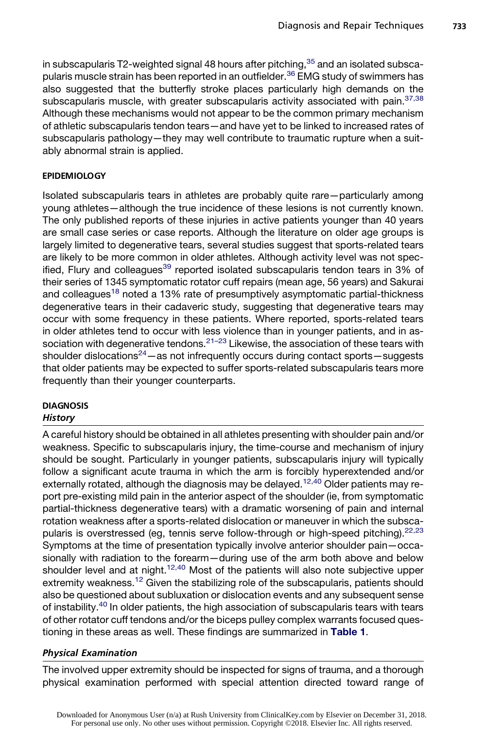in subscapularis T2-weighted signal 48 hours after pitching,  $35$  and an isolated subscapularis muscle strain has been reported in an outfielder.<sup>36</sup> EMG study of swimmers has also suggested that the butterfly stroke places particularly high demands on the subscapularis muscle, with greater subscapularis activity associated with pain.<sup>37,38</sup> Although these mechanisms would not appear to be the common primary mechanism of athletic subscapularis tendon tears—and have yet to be linked to increased rates of subscapularis pathology—they may well contribute to traumatic rupture when a suitably abnormal strain is applied.

#### EPIDEMIOLOGY

Isolated subscapularis tears in athletes are probably quite rare—particularly among young athletes—although the true incidence of these lesions is not currently known. The only published reports of these injuries in active patients younger than 40 years are small case series or case reports. Although the literature on older age groups is largely limited to degenerative tears, several studies suggest that sports-related tears are likely to be more common in older athletes. Although activity level was not specified, Flury and colleagues<sup>39</sup> reported isolated subscapularis tendon tears in 3% of their series of 1345 symptomatic rotator cuff repairs (mean age, 56 years) and Sakurai and colleagues<sup>18</sup> noted a 13% rate of presumptively asymptomatic partial-thickness degenerative tears in their cadaveric study, suggesting that degenerative tears may occur with some frequency in these patients. Where reported, sports-related tears in older athletes tend to occur with less violence than in younger patients, and in association with degenerative tendons. $21-23$  Likewise, the association of these tears with shoulder dislocations<sup>24</sup> — as not infrequently occurs during contact sports — suggests that older patients may be expected to suffer sports-related subscapularis tears more frequently than their younger counterparts.

#### **DIAGNOSIS History**

A careful history should be obtained in all athletes presenting with shoulder pain and/or weakness. Specific to subscapularis injury, the time-course and mechanism of injury should be sought. Particularly in younger patients, subscapularis injury will typically follow a significant acute trauma in which the arm is forcibly hyperextended and/or externally rotated, although the diagnosis may be delayed.<sup>12,40</sup> Older patients may report pre-existing mild pain in the anterior aspect of the shoulder (ie, from symptomatic partial-thickness degenerative tears) with a dramatic worsening of pain and internal rotation weakness after a sports-related dislocation or maneuver in which the subscapularis is overstressed (eg, tennis serve follow-through or high-speed pitching). $22,23$ Symptoms at the time of presentation typically involve anterior shoulder pain—occasionally with radiation to the forearm—during use of the arm both above and below shoulder level and at night.<sup>12,40</sup> Most of the patients will also note subjective upper extremity weakness.<sup>12</sup> Given the stabilizing role of the subscapularis, patients should also be questioned about subluxation or dislocation events and any subsequent sense of instability.<sup>40</sup> In older patients, the high association of subscapularis tears with tears of other rotator cuff tendons and/or the biceps pulley complex warrants focused questioning in these areas as well. These findings are summarized in Table 1.

# Physical Examination

The involved upper extremity should be inspected for signs of trauma, and a thorough physical examination performed with special attention directed toward range of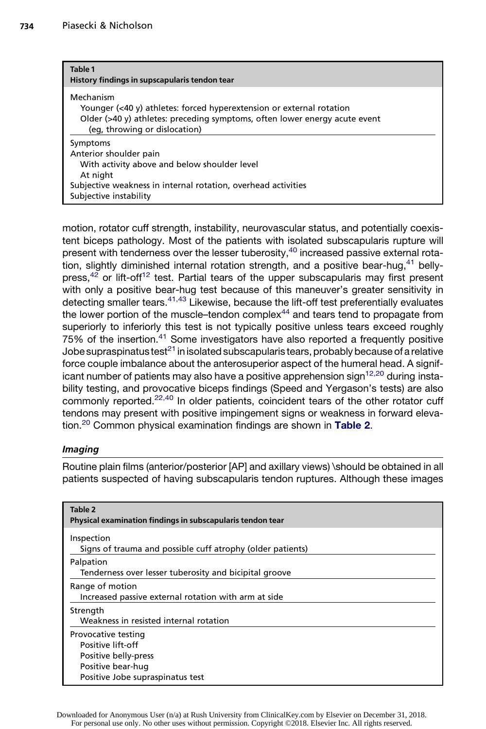| Table 1<br>History findings in supscapularis tendon tear                                                                                                                                         |
|--------------------------------------------------------------------------------------------------------------------------------------------------------------------------------------------------|
| Mechanism<br>Younger (<40 y) athletes: forced hyperextension or external rotation<br>Older (>40 y) athletes: preceding symptoms, often lower energy acute event<br>(eg, throwing or dislocation) |
| Symptoms<br>Anterior shoulder pain                                                                                                                                                               |
| With activity above and below shoulder level<br>At night                                                                                                                                         |
| Subjective weakness in internal rotation, overhead activities<br>Subjective instability                                                                                                          |

motion, rotator cuff strength, instability, neurovascular status, and potentially coexistent biceps pathology. Most of the patients with isolated subscapularis rupture will present with tenderness over the lesser tuberosity,<sup>40</sup> increased passive external rotation, slightly diminished internal rotation strength, and a positive bear-hug, $41$  bellypress, $42$  or lift-off<sup>12</sup> test. Partial tears of the upper subscapularis may first present with only a positive bear-hug test because of this maneuver's greater sensitivity in detecting smaller tears.<sup>41,43</sup> Likewise, because the lift-off test preferentially evaluates the lower portion of the muscle–tendon complex $44$  and tears tend to propagate from superiorly to inferiorly this test is not typically positive unless tears exceed roughly 75% of the insertion.<sup>41</sup> Some investigators have also reported a frequently positive Jobe supraspinatus test $^{21}$  in isolated subscapularis tears, probably because of a relative force couple imbalance about the anterosuperior aspect of the humeral head. A significant number of patients may also have a positive apprehension sign $12,20$  during instability testing, and provocative biceps findings (Speed and Yergason's tests) are also commonly reported.<sup>22,40</sup> In older patients, coincident tears of the other rotator cuff tendons may present with positive impingement signs or weakness in forward elevation.<sup>20</sup> Common physical examination findings are shown in Table 2.

## Imaging

Routine plain films (anterior/posterior [AP] and axillary views) \should be obtained in all patients suspected of having subscapularis tendon ruptures. Although these images

| Table 2<br>Physical examination findings in subscapularis tendon tear                                                     |
|---------------------------------------------------------------------------------------------------------------------------|
| Inspection<br>Signs of trauma and possible cuff atrophy (older patients)                                                  |
| Palpation<br>Tenderness over lesser tuberosity and bicipital groove                                                       |
| Range of motion<br>Increased passive external rotation with arm at side                                                   |
| Strength<br>Weakness in resisted internal rotation                                                                        |
| Provocative testing<br>Positive lift-off<br>Positive belly-press<br>Positive bear-hug<br>Positive Jobe supraspinatus test |

Downloaded for Anonymous User (n/a) at Rush University from ClinicalKey.com by Elsevier on December 31, 2018. For personal use only. No other uses without permission. Copyright ©2018. Elsevier Inc. All rights reserved.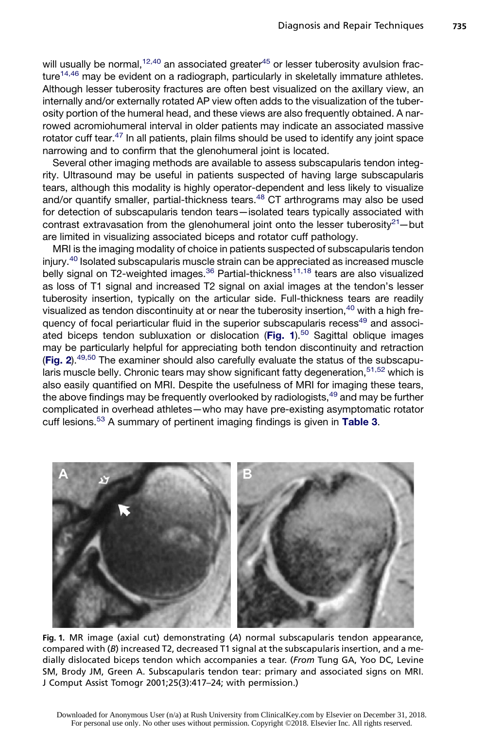will usually be normal,  $12,40$  an associated greater  $45$  or lesser tuberosity avulsion fracture<sup>14,46</sup> may be evident on a radiograph, particularly in skeletally immature athletes. Although lesser tuberosity fractures are often best visualized on the axillary view, an internally and/or externally rotated AP view often adds to the visualization of the tuberosity portion of the humeral head, and these views are also frequently obtained. A narrowed acromiohumeral interval in older patients may indicate an associated massive rotator cuff tear.<sup>47</sup> In all patients, plain films should be used to identify any joint space narrowing and to confirm that the glenohumeral joint is located.

Several other imaging methods are available to assess subscapularis tendon integrity. Ultrasound may be useful in patients suspected of having large subscapularis tears, although this modality is highly operator-dependent and less likely to visualize and/or quantify smaller, partial-thickness tears.<sup>48</sup> CT arthrograms may also be used for detection of subscapularis tendon tears—isolated tears typically associated with contrast extravasation from the glenohumeral joint onto the lesser tuberosity $21$ —but are limited in visualizing associated biceps and rotator cuff pathology.

MRI is the imaging modality of choice in patients suspected of subscapularis tendon injury.<sup>40</sup> Isolated subscapularis muscle strain can be appreciated as increased muscle belly signal on T2-weighted images. $36$  Partial-thickness<sup>11,18</sup> tears are also visualized as loss of T1 signal and increased T2 signal on axial images at the tendon's lesser tuberosity insertion, typically on the articular side. Full-thickness tears are readily visualized as tendon discontinuity at or near the tuberosity insertion,<sup>40</sup> with a high frequency of focal periarticular fluid in the superior subscapularis recess<sup>49</sup> and associated biceps tendon subluxation or dislocation (Fig. 1).<sup>50</sup> Sagittal oblique images may be particularly helpful for appreciating both tendon discontinuity and retraction (Fig. 2).<sup>49,50</sup> The examiner should also carefully evaluate the status of the subscapularis muscle belly. Chronic tears may show significant fatty degeneration,  $51,52$  which is also easily quantified on MRI. Despite the usefulness of MRI for imaging these tears, the above findings may be frequently overlooked by radiologists, <sup>49</sup> and may be further complicated in overhead athletes—who may have pre-existing asymptomatic rotator cuff lesions.<sup>53</sup> A summary of pertinent imaging findings is given in Table 3.



Fig. 1. MR image (axial cut) demonstrating (A) normal subscapularis tendon appearance, compared with (B) increased T2, decreased T1 signal at the subscapularis insertion, and a medially dislocated biceps tendon which accompanies a tear. (From Tung GA, Yoo DC, Levine SM, Brody JM, Green A. Subscapularis tendon tear: primary and associated signs on MRI. J Comput Assist Tomogr 2001;25(3):417–24; with permission.)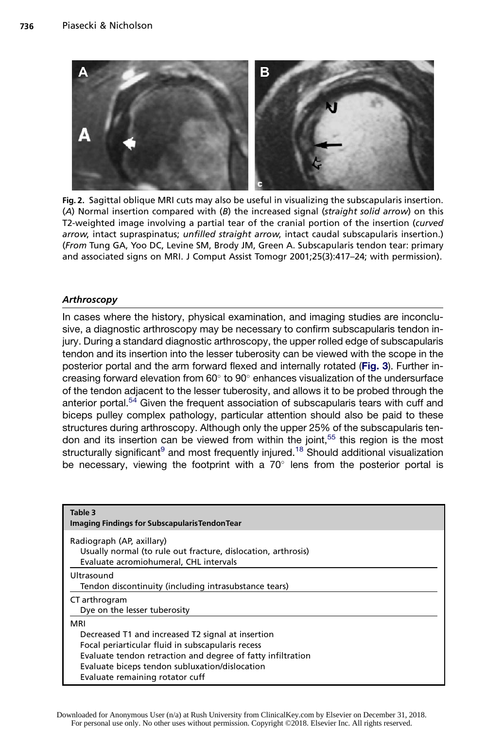

Fig. 2. Sagittal oblique MRI cuts may also be useful in visualizing the subscapularis insertion. (A) Normal insertion compared with (B) the increased signal (straight solid arrow) on this T2-weighted image involving a partial tear of the cranial portion of the insertion (curved arrow, intact supraspinatus; unfilled straight arrow, intact caudal subscapularis insertion.) (From Tung GA, Yoo DC, Levine SM, Brody JM, Green A. Subscapularis tendon tear: primary and associated signs on MRI. J Comput Assist Tomogr 2001;25(3):417–24; with permission).

#### **Arthroscopy**

In cases where the history, physical examination, and imaging studies are inconclusive, a diagnostic arthroscopy may be necessary to confirm subscapularis tendon injury. During a standard diagnostic arthroscopy, the upper rolled edge of subscapularis tendon and its insertion into the lesser tuberosity can be viewed with the scope in the posterior portal and the arm forward flexed and internally rotated (Fig. 3). Further increasing forward elevation from  $60^\circ$  to  $90^\circ$  enhances visualization of the undersurface of the tendon adjacent to the lesser tuberosity, and allows it to be probed through the anterior portal.<sup>54</sup> Given the frequent association of subscapularis tears with cuff and biceps pulley complex pathology, particular attention should also be paid to these structures during arthroscopy. Although only the upper 25% of the subscapularis tendon and its insertion can be viewed from within the joint,<sup>55</sup> this region is the most structurally significant $9$  and most frequently injured.<sup>18</sup> Should additional visualization be necessary, viewing the footprint with a  $70^{\circ}$  lens from the posterior portal is

| Table 3<br><b>Imaging Findings for Subscapularis Tendon Tear</b>                                                                                                                                                                                                  |
|-------------------------------------------------------------------------------------------------------------------------------------------------------------------------------------------------------------------------------------------------------------------|
| Radiograph (AP, axillary)<br>Usually normal (to rule out fracture, dislocation, arthrosis)<br>Evaluate acromiohumeral, CHL intervals                                                                                                                              |
| Ultrasound<br>Tendon discontinuity (including intrasubstance tears)                                                                                                                                                                                               |
| CT arthrogram<br>Dye on the lesser tuberosity                                                                                                                                                                                                                     |
| MRI<br>Decreased T1 and increased T2 signal at insertion<br>Focal periarticular fluid in subscapularis recess<br>Evaluate tendon retraction and degree of fatty infiltration<br>Evaluate biceps tendon subluxation/dislocation<br>Evaluate remaining rotator cuff |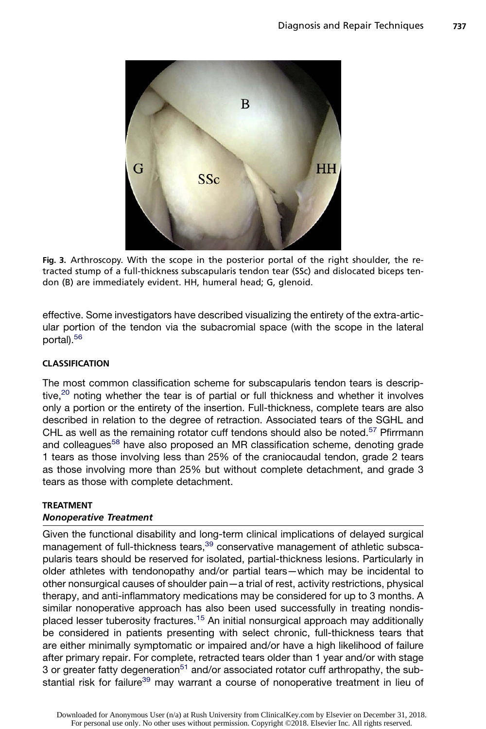

Fig. 3. Arthroscopy. With the scope in the posterior portal of the right shoulder, the retracted stump of a full-thickness subscapularis tendon tear (SSc) and dislocated biceps tendon (B) are immediately evident. HH, humeral head; G, glenoid.

effective. Some investigators have described visualizing the entirety of the extra-articular portion of the tendon via the subacromial space (with the scope in the lateral portal).<sup>56</sup>

## CLASSIFICATION

The most common classification scheme for subscapularis tendon tears is descriptive,<sup>20</sup> noting whether the tear is of partial or full thickness and whether it involves only a portion or the entirety of the insertion. Full-thickness, complete tears are also described in relation to the degree of retraction. Associated tears of the SGHL and CHL as well as the remaining rotator cuff tendons should also be noted.<sup>57</sup> Pfirrmann and colleagues<sup>58</sup> have also proposed an MR classification scheme, denoting grade 1 tears as those involving less than 25% of the craniocaudal tendon, grade 2 tears as those involving more than 25% but without complete detachment, and grade 3 tears as those with complete detachment.

# TREATMENT

## Nonoperative Treatment

Given the functional disability and long-term clinical implications of delayed surgical management of full-thickness tears,<sup>39</sup> conservative management of athletic subscapularis tears should be reserved for isolated, partial-thickness lesions. Particularly in older athletes with tendonopathy and/or partial tears—which may be incidental to other nonsurgical causes of shoulder pain—a trial of rest, activity restrictions, physical therapy, and anti-inflammatory medications may be considered for up to 3 months. A similar nonoperative approach has also been used successfully in treating nondisplaced lesser tuberosity fractures.15 An initial nonsurgical approach may additionally be considered in patients presenting with select chronic, full-thickness tears that are either minimally symptomatic or impaired and/or have a high likelihood of failure after primary repair. For complete, retracted tears older than 1 year and/or with stage 3 or greater fatty degeneration<sup>51</sup> and/or associated rotator cuff arthropathy, the substantial risk for failure<sup>39</sup> may warrant a course of nonoperative treatment in lieu of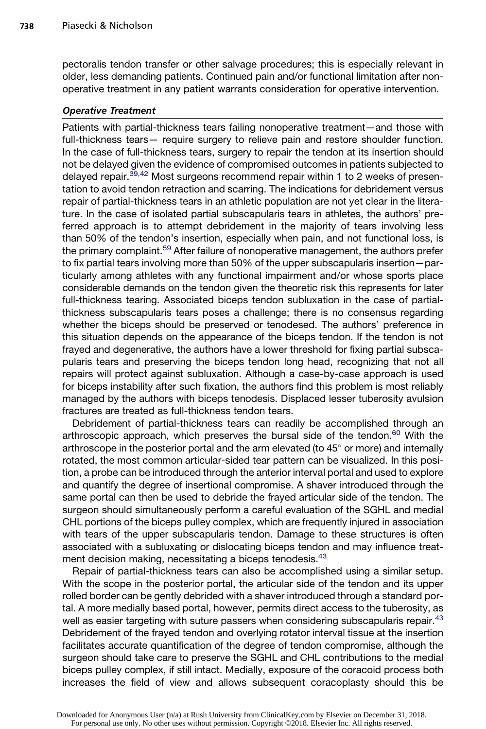pectoralis tendon transfer or other salvage procedures; this is especially relevant in older, less demanding patients. Continued pain and/or functional limitation after nonoperative treatment in any patient warrants consideration for operative intervention.

#### Operative Treatment

Patients with partial-thickness tears failing nonoperative treatment—and those with full-thickness tears— require surgery to relieve pain and restore shoulder function. In the case of full-thickness tears, surgery to repair the tendon at its insertion should not be delayed given the evidence of compromised outcomes in patients subjected to delayed repair.<sup>39,42</sup> Most surgeons recommend repair within 1 to 2 weeks of presentation to avoid tendon retraction and scarring. The indications for debridement versus repair of partial-thickness tears in an athletic population are not yet clear in the literature. In the case of isolated partial subscapularis tears in athletes, the authors' preferred approach is to attempt debridement in the majority of tears involving less than 50% of the tendon's insertion, especially when pain, and not functional loss, is the primary complaint.<sup>59</sup> After failure of nonoperative management, the authors prefer to fix partial tears involving more than 50% of the upper subscapularis insertion—particularly among athletes with any functional impairment and/or whose sports place considerable demands on the tendon given the theoretic risk this represents for later full-thickness tearing. Associated biceps tendon subluxation in the case of partialthickness subscapularis tears poses a challenge; there is no consensus regarding whether the biceps should be preserved or tenodesed. The authors' preference in this situation depends on the appearance of the biceps tendon. If the tendon is not frayed and degenerative, the authors have a lower threshold for fixing partial subscapularis tears and preserving the biceps tendon long head, recognizing that not all repairs will protect against subluxation. Although a case-by-case approach is used for biceps instability after such fixation, the authors find this problem is most reliably managed by the authors with biceps tenodesis. Displaced lesser tuberosity avulsion fractures are treated as full-thickness tendon tears.

Debridement of partial-thickness tears can readily be accomplished through an arthroscopic approach, which preserves the bursal side of the tendon.<sup>60</sup> With the arthroscope in the posterior portal and the arm elevated (to  $45^{\circ}$  or more) and internally rotated, the most common articular-sided tear pattern can be visualized. In this position, a probe can be introduced through the anterior interval portal and used to explore and quantify the degree of insertional compromise. A shaver introduced through the same portal can then be used to debride the frayed articular side of the tendon. The surgeon should simultaneously perform a careful evaluation of the SGHL and medial CHL portions of the biceps pulley complex, which are frequently injured in association with tears of the upper subscapularis tendon. Damage to these structures is often associated with a subluxating or dislocating biceps tendon and may influence treatment decision making, necessitating a biceps tenodesis.<sup>43</sup>

Repair of partial-thickness tears can also be accomplished using a similar setup. With the scope in the posterior portal, the articular side of the tendon and its upper rolled border can be gently debrided with a shaver introduced through a standard portal. A more medially based portal, however, permits direct access to the tuberosity, as well as easier targeting with suture passers when considering subscapularis repair.<sup>43</sup> Debridement of the frayed tendon and overlying rotator interval tissue at the insertion facilitates accurate quantification of the degree of tendon compromise, although the surgeon should take care to preserve the SGHL and CHL contributions to the medial biceps pulley complex, if still intact. Medially, exposure of the coracoid process both increases the field of view and allows subsequent coracoplasty should this be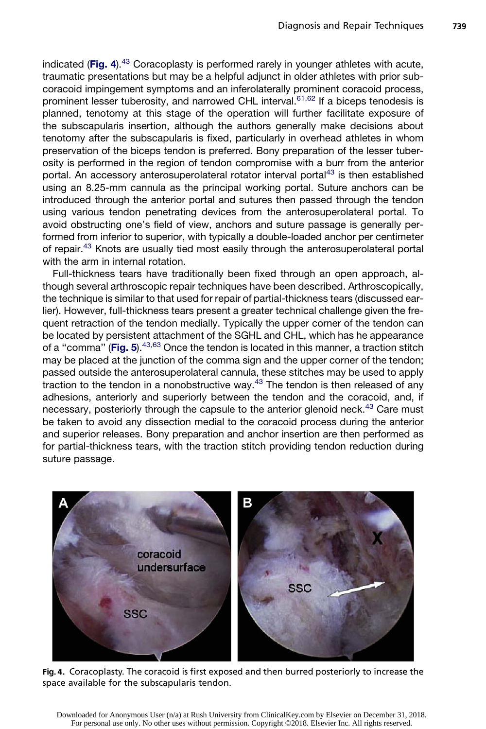indicated (Fig. 4). $43$  Coracoplasty is performed rarely in younger athletes with acute, traumatic presentations but may be a helpful adjunct in older athletes with prior subcoracoid impingement symptoms and an inferolaterally prominent coracoid process, prominent lesser tuberosity, and narrowed CHL interval.<sup>61,62</sup> If a biceps tenodesis is planned, tenotomy at this stage of the operation will further facilitate exposure of the subscapularis insertion, although the authors generally make decisions about tenotomy after the subscapularis is fixed, particularly in overhead athletes in whom preservation of the biceps tendon is preferred. Bony preparation of the lesser tuberosity is performed in the region of tendon compromise with a burr from the anterior portal. An accessory anterosuperolateral rotator interval portal<sup>43</sup> is then established using an 8.25-mm cannula as the principal working portal. Suture anchors can be introduced through the anterior portal and sutures then passed through the tendon using various tendon penetrating devices from the anterosuperolateral portal. To avoid obstructing one's field of view, anchors and suture passage is generally performed from inferior to superior, with typically a double-loaded anchor per centimeter of repair.43 Knots are usually tied most easily through the anterosuperolateral portal with the arm in internal rotation.

Full-thickness tears have traditionally been fixed through an open approach, although several arthroscopic repair techniques have been described. Arthroscopically, the technique is similar to that used for repair of partial-thickness tears (discussed earlier). However, full-thickness tears present a greater technical challenge given the frequent retraction of the tendon medially. Typically the upper corner of the tendon can be located by persistent attachment of the SGHL and CHL, which has he appearance of a "comma" (Fig. 5).  $43,63$  Once the tendon is located in this manner, a traction stitch may be placed at the junction of the comma sign and the upper corner of the tendon; passed outside the anterosuperolateral cannula, these stitches may be used to apply traction to the tendon in a nonobstructive way. $43$  The tendon is then released of any adhesions, anteriorly and superiorly between the tendon and the coracoid, and, if necessary, posteriorly through the capsule to the anterior glenoid neck.<sup>43</sup> Care must be taken to avoid any dissection medial to the coracoid process during the anterior and superior releases. Bony preparation and anchor insertion are then performed as for partial-thickness tears, with the traction stitch providing tendon reduction during suture passage.



Fig. 4. Coracoplasty. The coracoid is first exposed and then burred posteriorly to increase the space available for the subscapularis tendon.

Downloaded for Anonymous User (n/a) at Rush University from ClinicalKey.com by Elsevier on December 31, 2018. For personal use only. No other uses without permission. Copyright ©2018. Elsevier Inc. All rights reserved.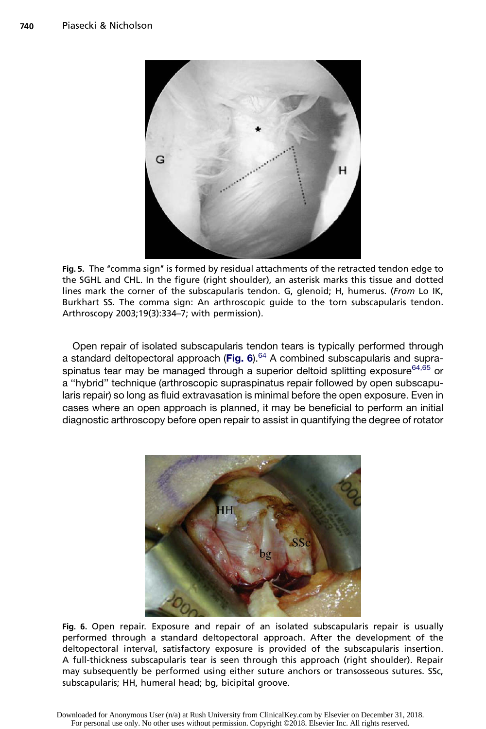

Fig. 5. The "comma sign" is formed by residual attachments of the retracted tendon edge to the SGHL and CHL. In the figure (right shoulder), an asterisk marks this tissue and dotted lines mark the corner of the subscapularis tendon. G, glenoid; H, humerus. (From Lo IK, Burkhart SS. The comma sign: An arthroscopic guide to the torn subscapularis tendon. Arthroscopy 2003;19(3):334–7; with permission).

Open repair of isolated subscapularis tendon tears is typically performed through a standard deltopectoral approach (Fig. 6). $64$  A combined subscapularis and supraspinatus tear may be managed through a superior deltoid splitting exposure  $64,65$  or a ''hybrid'' technique (arthroscopic supraspinatus repair followed by open subscapularis repair) so long as fluid extravasation is minimal before the open exposure. Even in cases where an open approach is planned, it may be beneficial to perform an initial diagnostic arthroscopy before open repair to assist in quantifying the degree of rotator



Fig. 6. Open repair. Exposure and repair of an isolated subscapularis repair is usually performed through a standard deltopectoral approach. After the development of the deltopectoral interval, satisfactory exposure is provided of the subscapularis insertion. A full-thickness subscapularis tear is seen through this approach (right shoulder). Repair may subsequently be performed using either suture anchors or transosseous sutures. SSc, subscapularis; HH, humeral head; bg, bicipital groove.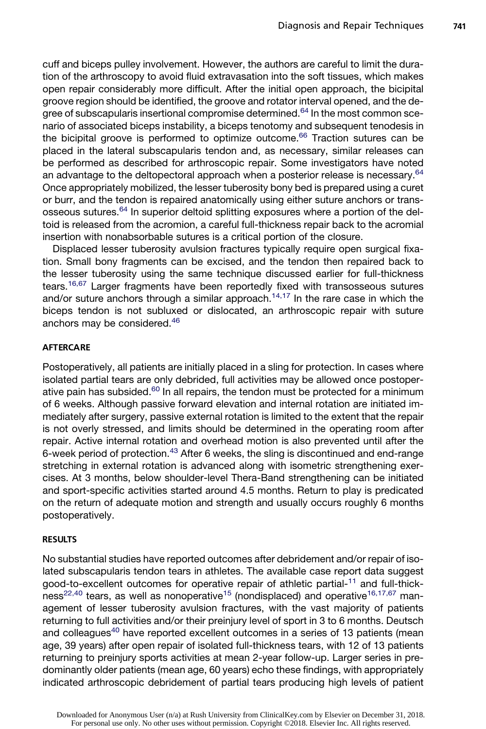cuff and biceps pulley involvement. However, the authors are careful to limit the duration of the arthroscopy to avoid fluid extravasation into the soft tissues, which makes open repair considerably more difficult. After the initial open approach, the bicipital groove region should be identified, the groove and rotator interval opened, and the degree of subscapularis insertional compromise determined.<sup>64</sup> In the most common scenario of associated biceps instability, a biceps tenotomy and subsequent tenodesis in the bicipital groove is performed to optimize outcome. $66$  Traction sutures can be placed in the lateral subscapularis tendon and, as necessary, similar releases can be performed as described for arthroscopic repair. Some investigators have noted an advantage to the deltopectoral approach when a posterior release is necessary. $64$ Once appropriately mobilized, the lesser tuberosity bony bed is prepared using a curet or burr, and the tendon is repaired anatomically using either suture anchors or transosseous sutures.<sup>64</sup> In superior deltoid splitting exposures where a portion of the deltoid is released from the acromion, a careful full-thickness repair back to the acromial insertion with nonabsorbable sutures is a critical portion of the closure.

Displaced lesser tuberosity avulsion fractures typically require open surgical fixation. Small bony fragments can be excised, and the tendon then repaired back to the lesser tuberosity using the same technique discussed earlier for full-thickness tears.<sup>16,67</sup> Larger fragments have been reportedly fixed with transosseous sutures and/or suture anchors through a similar approach.<sup>14,17</sup> In the rare case in which the biceps tendon is not subluxed or dislocated, an arthroscopic repair with suture anchors may be considered.<sup>46</sup>

#### AFTERCARE

Postoperatively, all patients are initially placed in a sling for protection. In cases where isolated partial tears are only debrided, full activities may be allowed once postoperative pain has subsided. $60$  In all repairs, the tendon must be protected for a minimum of 6 weeks. Although passive forward elevation and internal rotation are initiated immediately after surgery, passive external rotation is limited to the extent that the repair is not overly stressed, and limits should be determined in the operating room after repair. Active internal rotation and overhead motion is also prevented until after the 6-week period of protection.<sup>43</sup> After 6 weeks, the sling is discontinued and end-range stretching in external rotation is advanced along with isometric strengthening exercises. At 3 months, below shoulder-level Thera-Band strengthening can be initiated and sport-specific activities started around 4.5 months. Return to play is predicated on the return of adequate motion and strength and usually occurs roughly 6 months postoperatively.

#### RESULTS

No substantial studies have reported outcomes after debridement and/or repair of isolated subscapularis tendon tears in athletes. The available case report data suggest good-to-excellent outcomes for operative repair of athletic partial-<sup>11</sup> and full-thick $ness^{22,40}$  tears, as well as nonoperative<sup>15</sup> (nondisplaced) and operative<sup>16,17,67</sup> management of lesser tuberosity avulsion fractures, with the vast majority of patients returning to full activities and/or their preinjury level of sport in 3 to 6 months. Deutsch and colleagues<sup>40</sup> have reported excellent outcomes in a series of 13 patients (mean age, 39 years) after open repair of isolated full-thickness tears, with 12 of 13 patients returning to preinjury sports activities at mean 2-year follow-up. Larger series in predominantly older patients (mean age, 60 years) echo these findings, with appropriately indicated arthroscopic debridement of partial tears producing high levels of patient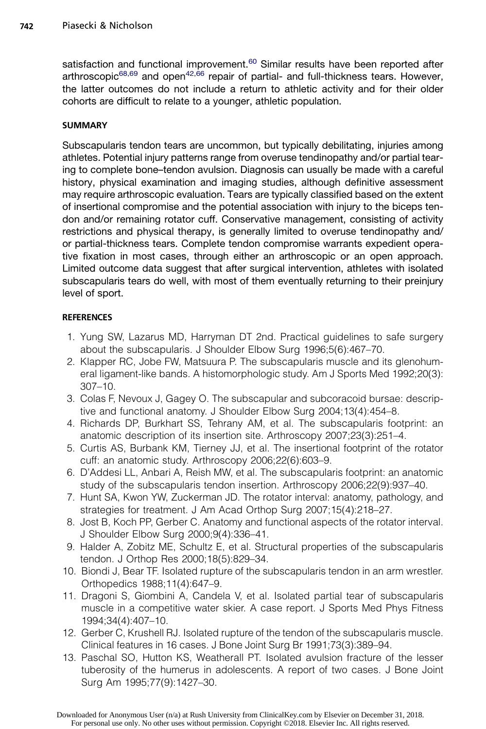satisfaction and functional improvement.<sup>60</sup> Similar results have been reported after arthroscopic $68,69$  and open $42,66$  repair of partial- and full-thickness tears. However, the latter outcomes do not include a return to athletic activity and for their older cohorts are difficult to relate to a younger, athletic population.

## SUMMARY

Subscapularis tendon tears are uncommon, but typically debilitating, injuries among athletes. Potential injury patterns range from overuse tendinopathy and/or partial tearing to complete bone–tendon avulsion. Diagnosis can usually be made with a careful history, physical examination and imaging studies, although definitive assessment may require arthroscopic evaluation. Tears are typically classified based on the extent of insertional compromise and the potential association with injury to the biceps tendon and/or remaining rotator cuff. Conservative management, consisting of activity restrictions and physical therapy, is generally limited to overuse tendinopathy and/ or partial-thickness tears. Complete tendon compromise warrants expedient operative fixation in most cases, through either an arthroscopic or an open approach. Limited outcome data suggest that after surgical intervention, athletes with isolated subscapularis tears do well, with most of them eventually returning to their preinjury level of sport.

## **REFERENCES**

- 1. Yung SW, Lazarus MD, Harryman DT 2nd. Practical guidelines to safe surgery about the subscapularis. J Shoulder Elbow Surg 1996;5(6):467–70.
- 2. Klapper RC, Jobe FW, Matsuura P. The subscapularis muscle and its glenohumeral ligament-like bands. A histomorphologic study. Am J Sports Med 1992;20(3): 307–10.
- 3. Colas F, Nevoux J, Gagey O. The subscapular and subcoracoid bursae: descriptive and functional anatomy. J Shoulder Elbow Surg 2004;13(4):454–8.
- 4. Richards DP, Burkhart SS, Tehrany AM, et al. The subscapularis footprint: an anatomic description of its insertion site. Arthroscopy 2007;23(3):251–4.
- 5. Curtis AS, Burbank KM, Tierney JJ, et al. The insertional footprint of the rotator cuff: an anatomic study. Arthroscopy 2006;22(6):603–9.
- 6. D'Addesi LL, Anbari A, Reish MW, et al. The subscapularis footprint: an anatomic study of the subscapularis tendon insertion. Arthroscopy 2006;22(9):937–40.
- 7. Hunt SA, Kwon YW, Zuckerman JD. The rotator interval: anatomy, pathology, and strategies for treatment. J Am Acad Orthop Surg 2007;15(4):218–27.
- 8. Jost B, Koch PP, Gerber C. Anatomy and functional aspects of the rotator interval. J Shoulder Elbow Surg 2000;9(4):336–41.
- 9. Halder A, Zobitz ME, Schultz E, et al. Structural properties of the subscapularis tendon. J Orthop Res 2000;18(5):829–34.
- 10. Biondi J, Bear TF. Isolated rupture of the subscapularis tendon in an arm wrestler. Orthopedics 1988;11(4):647–9.
- 11. Dragoni S, Giombini A, Candela V, et al. Isolated partial tear of subscapularis muscle in a competitive water skier. A case report. J Sports Med Phys Fitness 1994;34(4):407–10.
- 12. Gerber C, Krushell RJ. Isolated rupture of the tendon of the subscapularis muscle. Clinical features in 16 cases. J Bone Joint Surg Br 1991;73(3):389–94.
- 13. Paschal SO, Hutton KS, Weatherall PT. Isolated avulsion fracture of the lesser tuberosity of the humerus in adolescents. A report of two cases. J Bone Joint Surg Am 1995;77(9):1427–30.

Downloaded for Anonymous User (n/a) at Rush University from ClinicalKey.com by Elsevier on December 31, 2018. For personal use only. No other uses without permission. Copyright ©2018. Elsevier Inc. All rights reserved.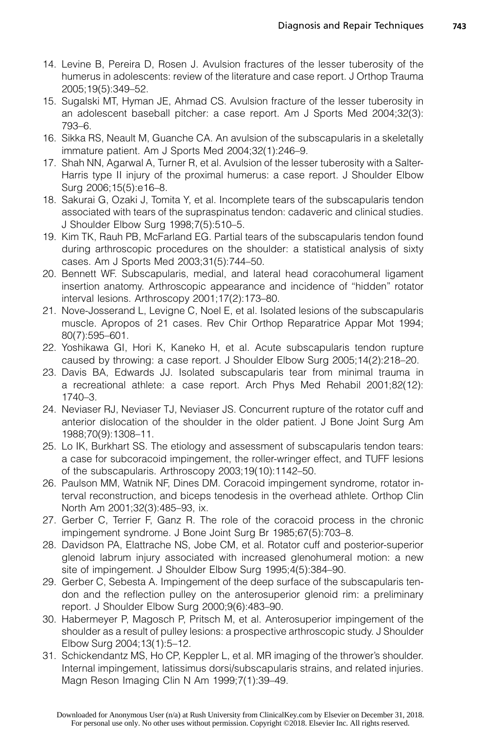- 14. Levine B, Pereira D, Rosen J. Avulsion fractures of the lesser tuberosity of the humerus in adolescents: review of the literature and case report. J Orthop Trauma 2005;19(5):349–52.
- 15. Sugalski MT, Hyman JE, Ahmad CS. Avulsion fracture of the lesser tuberosity in an adolescent baseball pitcher: a case report. Am J Sports Med 2004;32(3): 793–6.
- 16. Sikka RS, Neault M, Guanche CA. An avulsion of the subscapularis in a skeletally immature patient. Am J Sports Med 2004;32(1):246–9.
- 17. Shah NN, Agarwal A, Turner R, et al. Avulsion of the lesser tuberosity with a Salter-Harris type II injury of the proximal humerus: a case report. J Shoulder Elbow Surg 2006;15(5):e16–8.
- 18. Sakurai G, Ozaki J, Tomita Y, et al. Incomplete tears of the subscapularis tendon associated with tears of the supraspinatus tendon: cadaveric and clinical studies. J Shoulder Elbow Surg 1998;7(5):510–5.
- 19. Kim TK, Rauh PB, McFarland EG. Partial tears of the subscapularis tendon found during arthroscopic procedures on the shoulder: a statistical analysis of sixty cases. Am J Sports Med 2003;31(5):744–50.
- 20. Bennett WF. Subscapularis, medial, and lateral head coracohumeral ligament insertion anatomy. Arthroscopic appearance and incidence of ''hidden'' rotator interval lesions. Arthroscopy 2001;17(2):173–80.
- 21. Nove-Josserand L, Levigne C, Noel E, et al. Isolated lesions of the subscapularis muscle. Apropos of 21 cases. Rev Chir Orthop Reparatrice Appar Mot 1994; 80(7):595–601.
- 22. Yoshikawa GI, Hori K, Kaneko H, et al. Acute subscapularis tendon rupture caused by throwing: a case report. J Shoulder Elbow Surg 2005;14(2):218–20.
- 23. Davis BA, Edwards JJ. Isolated subscapularis tear from minimal trauma in a recreational athlete: a case report. Arch Phys Med Rehabil 2001;82(12): 1740–3.
- 24. Neviaser RJ, Neviaser TJ, Neviaser JS. Concurrent rupture of the rotator cuff and anterior dislocation of the shoulder in the older patient. J Bone Joint Surg Am 1988;70(9):1308–11.
- 25. Lo IK, Burkhart SS. The etiology and assessment of subscapularis tendon tears: a case for subcoracoid impingement, the roller-wringer effect, and TUFF lesions of the subscapularis. Arthroscopy 2003;19(10):1142–50.
- 26. Paulson MM, Watnik NF, Dines DM. Coracoid impingement syndrome, rotator interval reconstruction, and biceps tenodesis in the overhead athlete. Orthop Clin North Am 2001;32(3):485–93, ix.
- 27. Gerber C, Terrier F, Ganz R. The role of the coracoid process in the chronic impingement syndrome. J Bone Joint Surg Br 1985;67(5):703–8.
- 28. Davidson PA, Elattrache NS, Jobe CM, et al. Rotator cuff and posterior-superior glenoid labrum injury associated with increased glenohumeral motion: a new site of impingement. J Shoulder Elbow Surg 1995;4(5):384–90.
- 29. Gerber C, Sebesta A. Impingement of the deep surface of the subscapularis tendon and the reflection pulley on the anterosuperior glenoid rim: a preliminary report. J Shoulder Elbow Surg 2000;9(6):483–90.
- 30. Habermeyer P, Magosch P, Pritsch M, et al. Anterosuperior impingement of the shoulder as a result of pulley lesions: a prospective arthroscopic study. J Shoulder Elbow Surg 2004;13(1):5–12.
- 31. Schickendantz MS, Ho CP, Keppler L, et al. MR imaging of the thrower's shoulder. Internal impingement, latissimus dorsi/subscapularis strains, and related injuries. Magn Reson Imaging Clin N Am 1999;7(1):39–49.

Downloaded for Anonymous User (n/a) at Rush University from ClinicalKey.com by Elsevier on December 31, 2018. For personal use only. No other uses without permission. Copyright ©2018. Elsevier Inc. All rights reserved.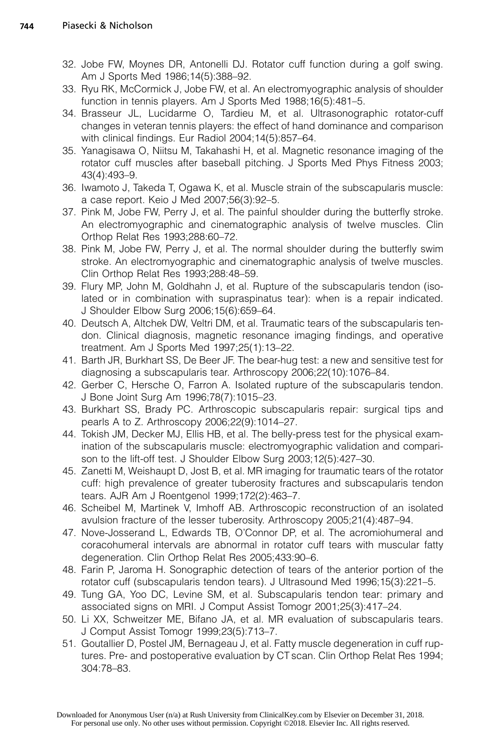- 32. Jobe FW, Moynes DR, Antonelli DJ. Rotator cuff function during a golf swing. Am J Sports Med 1986;14(5):388–92.
- 33. Ryu RK, McCormick J, Jobe FW, et al. An electromyographic analysis of shoulder function in tennis players. Am J Sports Med 1988;16(5):481–5.
- 34. Brasseur JL, Lucidarme O, Tardieu M, et al. Ultrasonographic rotator-cuff changes in veteran tennis players: the effect of hand dominance and comparison with clinical findings. Eur Radiol 2004;14(5):857–64.
- 35. Yanagisawa O, Niitsu M, Takahashi H, et al. Magnetic resonance imaging of the rotator cuff muscles after baseball pitching. J Sports Med Phys Fitness 2003; 43(4):493–9.
- 36. Iwamoto J, Takeda T, Ogawa K, et al. Muscle strain of the subscapularis muscle: a case report. Keio J Med 2007;56(3):92–5.
- 37. Pink M, Jobe FW, Perry J, et al. The painful shoulder during the butterfly stroke. An electromyographic and cinematographic analysis of twelve muscles. Clin Orthop Relat Res 1993;288:60–72.
- 38. Pink M, Jobe FW, Perry J, et al. The normal shoulder during the butterfly swim stroke. An electromyographic and cinematographic analysis of twelve muscles. Clin Orthop Relat Res 1993;288:48–59.
- 39. Flury MP, John M, Goldhahn J, et al. Rupture of the subscapularis tendon (isolated or in combination with supraspinatus tear): when is a repair indicated. J Shoulder Elbow Surg 2006;15(6):659–64.
- 40. Deutsch A, Altchek DW, Veltri DM, et al. Traumatic tears of the subscapularis tendon. Clinical diagnosis, magnetic resonance imaging findings, and operative treatment. Am J Sports Med 1997;25(1):13–22.
- 41. Barth JR, Burkhart SS, De Beer JF. The bear-hug test: a new and sensitive test for diagnosing a subscapularis tear. Arthroscopy 2006;22(10):1076–84.
- 42. Gerber C, Hersche O, Farron A. Isolated rupture of the subscapularis tendon. J Bone Joint Surg Am 1996;78(7):1015–23.
- 43. Burkhart SS, Brady PC. Arthroscopic subscapularis repair: surgical tips and pearls A to Z. Arthroscopy 2006;22(9):1014–27.
- 44. Tokish JM, Decker MJ, Ellis HB, et al. The belly-press test for the physical examination of the subscapularis muscle: electromyographic validation and comparison to the lift-off test. J Shoulder Elbow Surg 2003;12(5):427–30.
- 45. Zanetti M, Weishaupt D, Jost B, et al. MR imaging for traumatic tears of the rotator cuff: high prevalence of greater tuberosity fractures and subscapularis tendon tears. AJR Am J Roentgenol 1999;172(2):463–7.
- 46. Scheibel M, Martinek V, Imhoff AB. Arthroscopic reconstruction of an isolated avulsion fracture of the lesser tuberosity. Arthroscopy 2005;21(4):487–94.
- 47. Nove-Josserand L, Edwards TB, O'Connor DP, et al. The acromiohumeral and coracohumeral intervals are abnormal in rotator cuff tears with muscular fatty degeneration. Clin Orthop Relat Res 2005;433:90–6.
- 48. Farin P, Jaroma H. Sonographic detection of tears of the anterior portion of the rotator cuff (subscapularis tendon tears). J Ultrasound Med 1996;15(3):221–5.
- 49. Tung GA, Yoo DC, Levine SM, et al. Subscapularis tendon tear: primary and associated signs on MRI. J Comput Assist Tomogr 2001;25(3):417–24.
- 50. Li XX, Schweitzer ME, Bifano JA, et al. MR evaluation of subscapularis tears. J Comput Assist Tomogr 1999;23(5):713–7.
- 51. Goutallier D, Postel JM, Bernageau J, et al. Fatty muscle degeneration in cuff ruptures. Pre- and postoperative evaluation by CT scan. Clin Orthop Relat Res 1994; 304:78–83.

Downloaded for Anonymous User (n/a) at Rush University from ClinicalKey.com by Elsevier on December 31, 2018. For personal use only. No other uses without permission. Copyright ©2018. Elsevier Inc. All rights reserved.